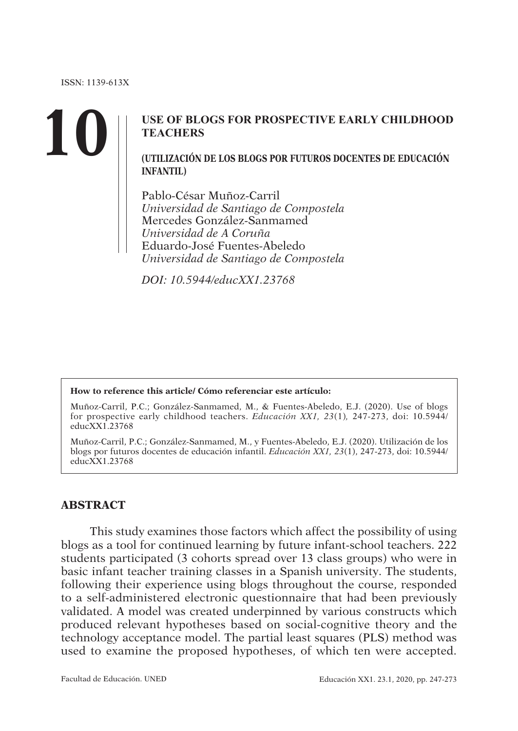# **10 USE OF BLOGS FOR PROSPECTIVE EARLY CHILDHOOD <br>
TEACHERS<br>
(UTILIZACIÓN DE LOS BLOGS POR FUTUROS DOCENTES DE EDUCACIÓN TEACHERS**

**INFANTIL)**

Pablo-César Muñoz-Carril *Universidad de Santiago de Compostela* Mercedes González-Sanmamed *Universidad de A Coruña* Eduardo-José Fuentes-Abeledo *Universidad de Santiago de Compostela*

*DOI: 10.5944/educXX1.23768*

#### **How to reference this article/ Cómo referenciar este artículo:**

Muñoz-Carril, P.C.; González-Sanmamed, M., & Fuentes-Abeledo, E.J. (2020). Use of blogs for prospective early childhood teachers. *Educación XX1, 23*(1)*,* 247-273, doi: 10.5944/ educXX1.23768

Muñoz-Carril, P.C.; González-Sanmamed, M., y Fuentes-Abeledo, E.J. (2020). Utilización de los blogs por futuros docentes de educación infantil. *Educación XX1, 23*(1), 247-273, doi: 10.5944/ educXX1.23768

#### **ABSTRACT**

This study examines those factors which affect the possibility of using blogs as a tool for continued learning by future infant-school teachers. 222 students participated (3 cohorts spread over 13 class groups) who were in basic infant teacher training classes in a Spanish university. The students, following their experience using blogs throughout the course, responded to a self-administered electronic questionnaire that had been previously validated. A model was created underpinned by various constructs which produced relevant hypotheses based on social-cognitive theory and the technology acceptance model. The partial least squares (PLS) method was used to examine the proposed hypotheses, of which ten were accepted.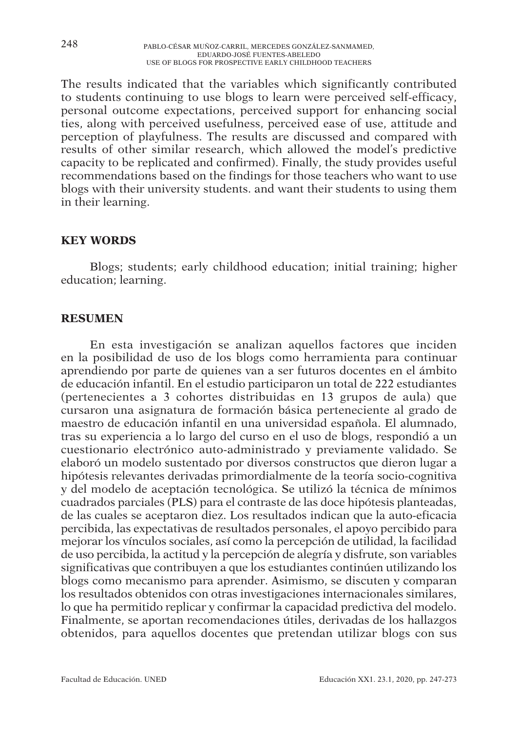The results indicated that the variables which significantly contributed to students continuing to use blogs to learn were perceived self-efficacy, personal outcome expectations, perceived support for enhancing social ties, along with perceived usefulness, perceived ease of use, attitude and perception of playfulness. The results are discussed and compared with results of other similar research, which allowed the model's predictive capacity to be replicated and confirmed). Finally, the study provides useful recommendations based on the findings for those teachers who want to use blogs with their university students. and want their students to using them in their learning.

# **KEY WORDS**

Blogs; students; early childhood education; initial training; higher education; learning.

## **RESUMEN**

En esta investigación se analizan aquellos factores que inciden en la posibilidad de uso de los blogs como herramienta para continuar aprendiendo por parte de quienes van a ser futuros docentes en el ámbito de educación infantil. En el estudio participaron un total de 222 estudiantes (pertenecientes a 3 cohortes distribuidas en 13 grupos de aula) que cursaron una asignatura de formación básica perteneciente al grado de maestro de educación infantil en una universidad española. El alumnado, tras su experiencia a lo largo del curso en el uso de blogs, respondió a un cuestionario electrónico auto-administrado y previamente validado. Se elaboró un modelo sustentado por diversos constructos que dieron lugar a hipótesis relevantes derivadas primordialmente de la teoría socio-cognitiva y del modelo de aceptación tecnológica. Se utilizó la técnica de mínimos cuadrados parciales (PLS) para el contraste de las doce hipótesis planteadas, de las cuales se aceptaron diez. Los resultados indican que la auto-eficacia percibida, las expectativas de resultados personales, el apoyo percibido para mejorar los vínculos sociales, así como la percepción de utilidad, la facilidad de uso percibida, la actitud y la percepción de alegría y disfrute, son variables significativas que contribuyen a que los estudiantes continúen utilizando los blogs como mecanismo para aprender. Asimismo, se discuten y comparan los resultados obtenidos con otras investigaciones internacionales similares, lo que ha permitido replicar y confirmar la capacidad predictiva del modelo. Finalmente, se aportan recomendaciones útiles, derivadas de los hallazgos obtenidos, para aquellos docentes que pretendan utilizar blogs con sus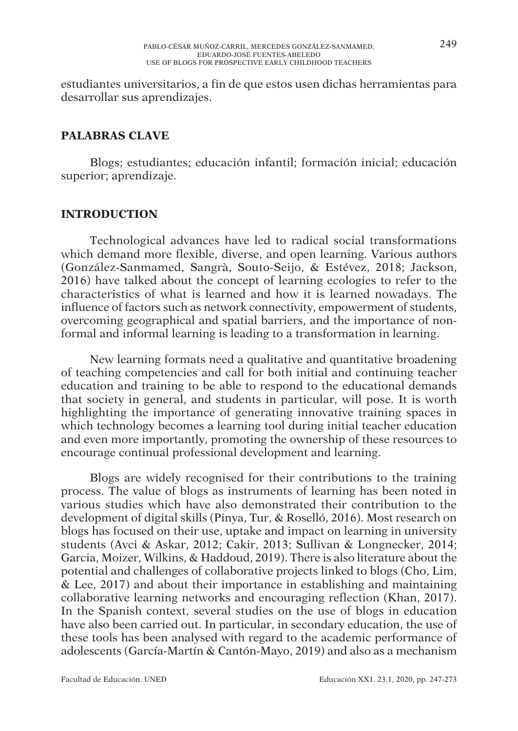estudiantes universitarios, a fin de que estos usen dichas herramientas para desarrollar sus aprendizajes.

## **PALABRAS CLAVE**

Blogs; estudiantes; educación infantil; formación inicial; educación superior; aprendizaie.

#### **INTRODUCTION**

Technological advances have led to radical social transformations which demand more flexible, diverse, and open learning. Various authors (González-Sanmamed, Sangrà, Souto-Seijo, & Estévez, 2018; Jackson, 2016) have talked about the concept of learning ecologies to refer to the characteristics of what is learned and how it is learned nowadays. The influence of factors such as network connectivity, empowerment of students, overcoming geographical and spatial barriers, and the importance of nonformal and informal learning is leading to a transformation in learning.

New learning formats need a qualitative and quantitative broadening of teaching competencies and call for both initial and continuing teacher education and training to be able to respond to the educational demands that society in general, and students in particular, will pose. It is worth highlighting the importance of generating innovative training spaces in which technology becomes a learning tool during initial teacher education and even more importantly, promoting the ownership of these resources to encourage continual professional development and learning.

Blogs are widely recognised for their contributions to the training process. The value of blogs as instruments of learning has been noted in various studies which have also demonstrated their contribution to the development of digital skills (Pinya, Tur, & Roselló, 2016). Most research on blogs has focused on their use, uptake and impact on learning in university students (Avci & Askar, 2012; Cakir, 2013; Sullivan & Longnecker, 2014; Garcia, Moizer, Wilkins, & Haddoud, 2019). There is also literature about the potential and challenges of collaborative projects linked to blogs (Cho, Lim, & Lee, 2017) and about their importance in establishing and maintaining collaborative learning networks and encouraging reflection (Khan, 2017). In the Spanish context, several studies on the use of blogs in education have also been carried out. In particular, in secondary education, the use of these tools has been analysed with regard to the academic performance of adolescents (García-Martín & Cantón-Mayo, 2019) and also as a mechanism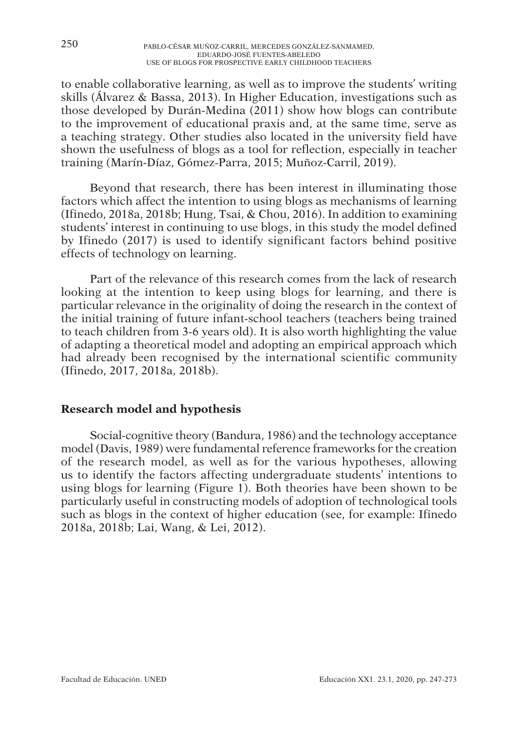to enable collaborative learning, as well as to improve the students' writing skills (Álvarez & Bassa, 2013). In Higher Education, investigations such as those developed by Durán-Medina (2011) show how blogs can contribute to the improvement of educational praxis and, at the same time, serve as a teaching strategy. Other studies also located in the university field have shown the usefulness of blogs as a tool for reflection, especially in teacher training (Marín-Díaz, Gómez-Parra, 2015; Muñoz-Carril, 2019).

Beyond that research, there has been interest in illuminating those factors which affect the intention to using blogs as mechanisms of learning (Ifinedo, 2018a, 2018b; Hung, Tsai, & Chou, 2016). In addition to examining students' interest in continuing to use blogs, in this study the model defined by Ifinedo (2017) is used to identify significant factors behind positive effects of technology on learning.

Part of the relevance of this research comes from the lack of research looking at the intention to keep using blogs for learning, and there is particular relevance in the originality of doing the research in the context of the initial training of future infant-school teachers (teachers being trained to teach children from 3-6 years old). It is also worth highlighting the value of adapting a theoretical model and adopting an empirical approach which had already been recognised by the international scientific community (Ifinedo, 2017, 2018a, 2018b).

# **Research model and hypothesis**

Social-cognitive theory (Bandura, 1986) and the technology acceptance model (Davis, 1989) were fundamental reference frameworks for the creation of the research model, as well as for the various hypotheses, allowing us to identify the factors affecting undergraduate students' intentions to using blogs for learning (Figure 1). Both theories have been shown to be particularly useful in constructing models of adoption of technological tools such as blogs in the context of higher education (see, for example: Ifinedo 2018a, 2018b; Lai, Wang, & Lei, 2012).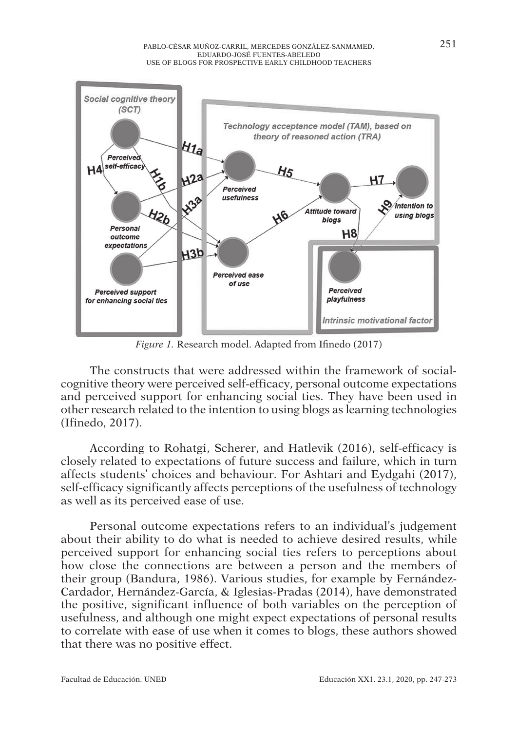

*Figure 1.* Research model. Adapted from Ifinedo (2017)

The constructs that were addressed within the framework of socialcognitive theory were perceived self-efficacy, personal outcome expectations and perceived support for enhancing social ties. They have been used in other research related to the intention to using blogs as learning technologies (Ifinedo, 2017).

According to Rohatgi, Scherer, and Hatlevik (2016), self-efficacy is closely related to expectations of future success and failure, which in turn affects students' choices and behaviour. For Ashtari and Eydgahi (2017), self-efficacy significantly affects perceptions of the usefulness of technology as well as its perceived ease of use.

Personal outcome expectations refers to an individual's judgement about their ability to do what is needed to achieve desired results, while perceived support for enhancing social ties refers to perceptions about how close the connections are between a person and the members of their group (Bandura, 1986). Various studies, for example by Fernández-Cardador, Hernández-García, & Iglesias-Pradas (2014), have demonstrated the positive, significant influence of both variables on the perception of usefulness, and although one might expect expectations of personal results to correlate with ease of use when it comes to blogs, these authors showed that there was no positive effect.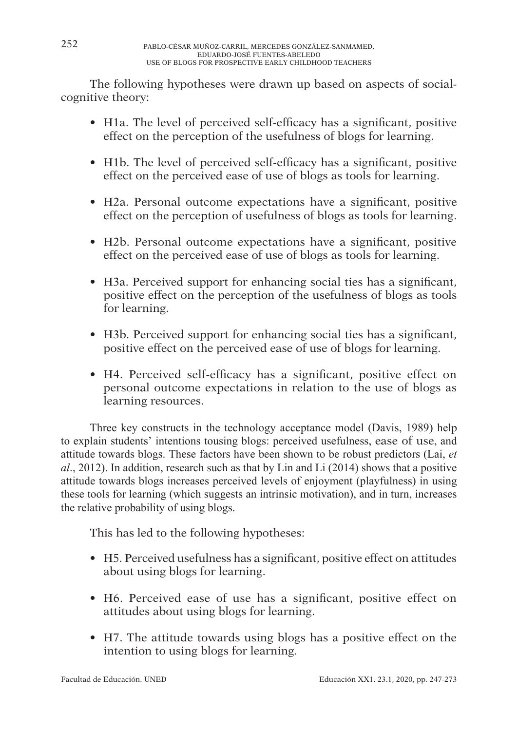The following hypotheses were drawn up based on aspects of socialcognitive theory:

- H1a. The level of perceived self-efficacy has a significant, positive effect on the perception of the usefulness of blogs for learning.
- H1b. The level of perceived self-efficacy has a significant, positive effect on the perceived ease of use of blogs as tools for learning.
- H2a. Personal outcome expectations have a significant, positive effect on the perception of usefulness of blogs as tools for learning.
- H2b. Personal outcome expectations have a significant, positive effect on the perceived ease of use of blogs as tools for learning.
- H3a. Perceived support for enhancing social ties has a significant, positive effect on the perception of the usefulness of blogs as tools for learning.
- H3b. Perceived support for enhancing social ties has a significant, positive effect on the perceived ease of use of blogs for learning.
- H4. Perceived self-efficacy has a significant, positive effect on personal outcome expectations in relation to the use of blogs as learning resources.

Three key constructs in the technology acceptance model (Davis, 1989) help to explain students' intentions tousing blogs: perceived usefulness, ease of use, and attitude towards blogs. These factors have been shown to be robust predictors (Lai, *et al*., 2012). In addition, research such as that by Lin and Li (2014) shows that a positive attitude towards blogs increases perceived levels of enjoyment (playfulness) in using these tools for learning (which suggests an intrinsic motivation), and in turn, increases the relative probability of using blogs.

This has led to the following hypotheses:

- H5. Perceived usefulness has a significant, positive effect on attitudes about using blogs for learning.
- H6. Perceived ease of use has a significant, positive effect on attitudes about using blogs for learning.
- H7. The attitude towards using blogs has a positive effect on the intention to using blogs for learning.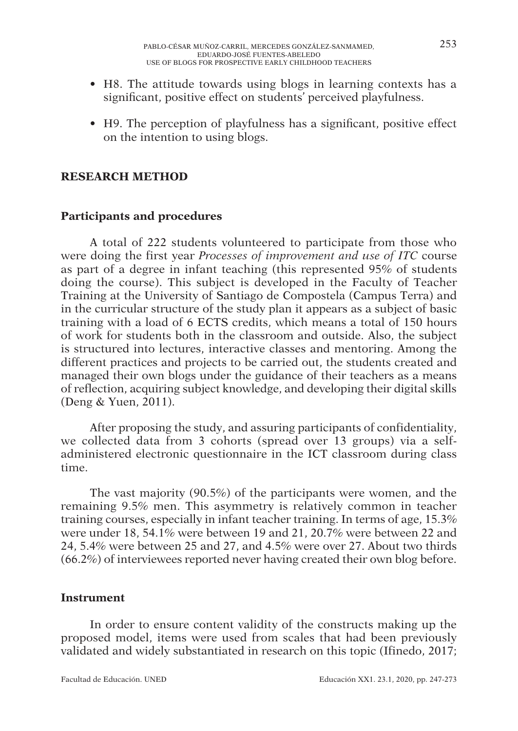- H8. The attitude towards using blogs in learning contexts has a significant, positive effect on students' perceived playfulness.
- H9. The perception of playfulness has a significant, positive effect on the intention to using blogs.

## **RESEARCH METHOD**

# **Participants and procedures**

A total of 222 students volunteered to participate from those who were doing the first year *Processes of improvement and use of ITC* course as part of a degree in infant teaching (this represented 95% of students doing the course). This subject is developed in the Faculty of Teacher Training at the University of Santiago de Compostela (Campus Terra) and in the curricular structure of the study plan it appears as a subject of basic training with a load of 6 ECTS credits, which means a total of 150 hours of work for students both in the classroom and outside. Also, the subject is structured into lectures, interactive classes and mentoring. Among the different practices and projects to be carried out, the students created and managed their own blogs under the guidance of their teachers as a means of reflection, acquiring subject knowledge, and developing their digital skills (Deng & Yuen, 2011).

After proposing the study, and assuring participants of confidentiality, we collected data from 3 cohorts (spread over 13 groups) via a selfadministered electronic questionnaire in the ICT classroom during class time.

The vast majority (90.5%) of the participants were women, and the remaining 9.5% men. This asymmetry is relatively common in teacher training courses, especially in infant teacher training. In terms of age, 15.3% were under 18, 54.1% were between 19 and 21, 20.7% were between 22 and 24, 5.4% were between 25 and 27, and 4.5% were over 27. About two thirds (66.2%) of interviewees reported never having created their own blog before.

#### **Instrument**

In order to ensure content validity of the constructs making up the proposed model, items were used from scales that had been previously validated and widely substantiated in research on this topic (Ifinedo, 2017;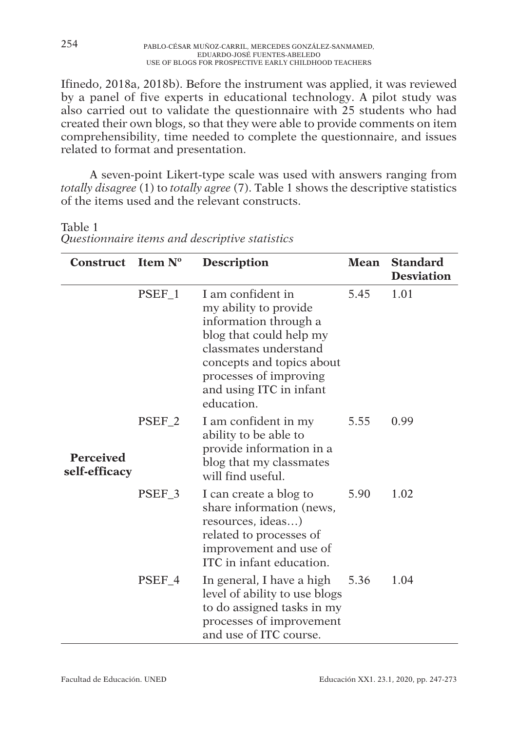Ifinedo, 2018a, 2018b). Before the instrument was applied, it was reviewed by a panel of five experts in educational technology. A pilot study was also carried out to validate the questionnaire with 25 students who had created their own blogs, so that they were able to provide comments on item comprehensibility, time needed to complete the questionnaire, and issues related to format and presentation.

A seven-point Likert-type scale was used with answers ranging from *totally disagree* (1) to *totally agree* (7). Table 1 shows the descriptive statistics of the items used and the relevant constructs.

Table 1 *Questionnaire items and descriptive statistics*

|                                   | Construct Item $N^0$<br><b>Description</b> |                                                                                                                                                                                                                         | Mean | <b>Standard</b><br><b>Desviation</b> |
|-----------------------------------|--------------------------------------------|-------------------------------------------------------------------------------------------------------------------------------------------------------------------------------------------------------------------------|------|--------------------------------------|
|                                   | PSEF_1                                     | I am confident in<br>my ability to provide<br>information through a<br>blog that could help my<br>classmates understand<br>concepts and topics about<br>processes of improving<br>and using ITC in infant<br>education. | 5.45 | 1.01                                 |
| <b>Perceived</b><br>self-efficacy | PSEF <sub>2</sub>                          | I am confident in my<br>ability to be able to<br>provide information in a<br>blog that my classmates<br>will find useful.                                                                                               | 5.55 | 0.99                                 |
|                                   | PSEF <sub>3</sub>                          | I can create a blog to<br>share information (news,<br>resources, ideas)<br>related to processes of<br>improvement and use of<br>ITC in infant education.                                                                | 5.90 | 1.02                                 |
|                                   | PSEF 4                                     | In general, I have a high<br>level of ability to use blogs<br>to do assigned tasks in my<br>processes of improvement<br>and use of ITC course.                                                                          | 5.36 | 1.04                                 |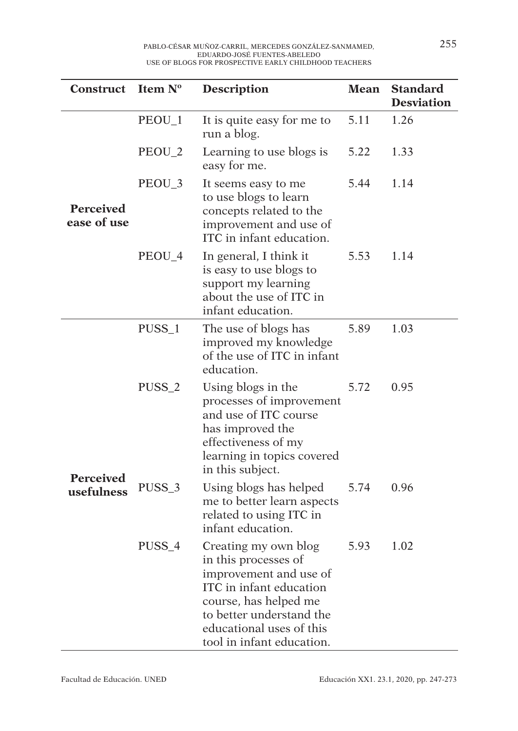| Construct                      | Item Nº           | <b>Description</b>                                                                                                                                                                                              | Mean | <b>Standard</b><br><b>Desviation</b> |
|--------------------------------|-------------------|-----------------------------------------------------------------------------------------------------------------------------------------------------------------------------------------------------------------|------|--------------------------------------|
|                                | PEOU_1            | It is quite easy for me to<br>run a blog.                                                                                                                                                                       | 5.11 | 1.26                                 |
|                                | PEOU <sub>2</sub> | Learning to use blogs is<br>easy for me.                                                                                                                                                                        | 5.22 | 1.33                                 |
| Perceived<br>ease of use       | PEOU_3            | It seems easy to me<br>to use blogs to learn<br>concepts related to the<br>improvement and use of<br>ITC in infant education.                                                                                   | 5.44 | 1.14                                 |
|                                | PEOU_4            | In general, I think it<br>is easy to use blogs to<br>support my learning<br>about the use of ITC in<br>infant education.                                                                                        | 5.53 | 1.14                                 |
|                                | PUSS_1            | The use of blogs has<br>improved my knowledge<br>of the use of ITC in infant<br>education.                                                                                                                      | 5.89 | 1.03                                 |
| <b>Perceived</b><br>usefulness | PUSS <sub>2</sub> | Using blogs in the<br>processes of improvement<br>and use of ITC course<br>has improved the<br>effectiveness of my<br>learning in topics covered<br>in this subject.                                            | 5.72 | 0.95                                 |
|                                | PUSS_3            | Using blogs has helped<br>me to better learn aspects<br>related to using ITC in<br>infant education.                                                                                                            | 5.74 | 0.96                                 |
|                                | PUSS_4            | Creating my own blog<br>in this processes of<br>improvement and use of<br>ITC in infant education<br>course, has helped me<br>to better understand the<br>educational uses of this<br>tool in infant education. | 5.93 | 1.02                                 |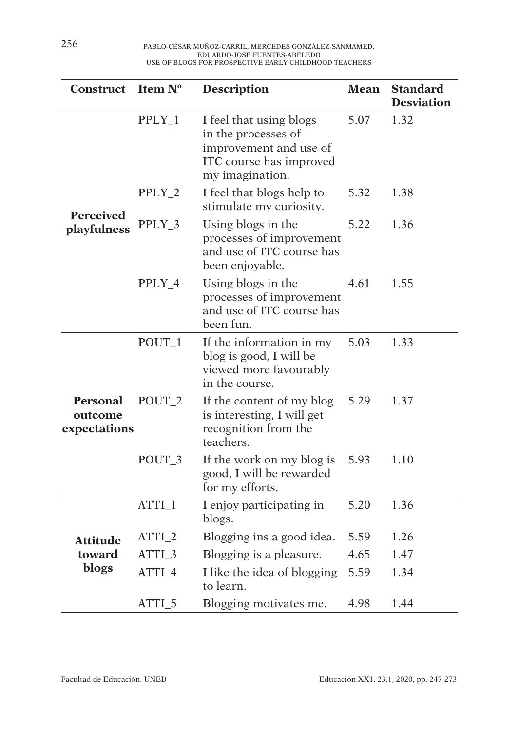| <b>Construct</b>                    | Item Nº           | <b>Description</b><br><b>Mean</b>                                                                                      |      | <b>Standard</b><br><b>Desviation</b> |
|-------------------------------------|-------------------|------------------------------------------------------------------------------------------------------------------------|------|--------------------------------------|
|                                     | PPLY_1            | I feel that using blogs<br>in the processes of<br>improvement and use of<br>ITC course has improved<br>my imagination. | 5.07 | 1.32                                 |
|                                     | PPLY_2            | I feel that blogs help to<br>stimulate my curiosity.                                                                   | 5.32 | 1.38                                 |
| Perceived<br>playfulness            | PPLY_3            | Using blogs in the<br>processes of improvement<br>and use of ITC course has<br>been enjoyable.                         | 5.22 | 1.36                                 |
|                                     | PPLY_4            | Using blogs in the<br>processes of improvement<br>and use of ITC course has<br>been fun.                               | 4.61 | 1.55                                 |
|                                     | $POUT_1$          | If the information in my<br>blog is good, I will be<br>viewed more favourably<br>in the course.                        | 5.03 | 1.33                                 |
| Personal<br>outcome<br>expectations | POUT <sub>2</sub> | If the content of my blog<br>is interesting, I will get<br>recognition from the<br>teachers.                           | 5.29 | 1.37                                 |
|                                     | POUT_3            | If the work on my blog is<br>good, I will be rewarded<br>for my efforts.                                               | 5.93 | 1.10                                 |
|                                     | ATTI_1            | I enjoy participating in<br>blogs.                                                                                     | 5.20 | 1.36                                 |
| <b>Attitude</b>                     | ATTI_2            | Blogging ins a good idea.                                                                                              | 5.59 | 1.26                                 |
| toward                              | ATTI_3            | Blogging is a pleasure.                                                                                                | 4.65 | 1.47                                 |
| blogs                               | ATTI_4            | I like the idea of blogging<br>to learn.                                                                               | 5.59 | 1.34                                 |
|                                     | ATTI_5            | Blogging motivates me.                                                                                                 | 4.98 | 1.44                                 |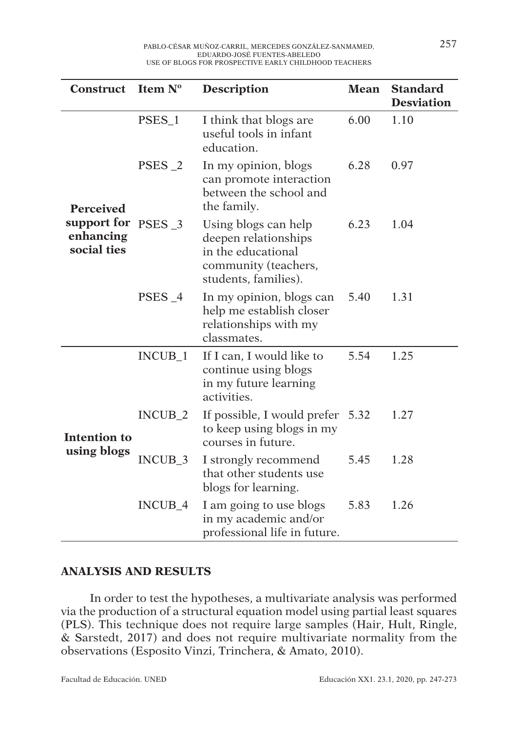| Construct                                                   | Item N°<br><b>Description</b> |                                                                                                                    | <b>Mean</b> | <b>Standard</b><br><b>Desviation</b> |
|-------------------------------------------------------------|-------------------------------|--------------------------------------------------------------------------------------------------------------------|-------------|--------------------------------------|
|                                                             | PSES_1                        | I think that blogs are<br>useful tools in infant<br>education.                                                     | 6.00        | 1.10                                 |
| <b>Perceived</b><br>support for<br>enhancing<br>social ties | $PSES_2$                      | In my opinion, blogs<br>can promote interaction<br>between the school and<br>the family.                           | 6.28        | 0.97                                 |
|                                                             | PSES <sub>3</sub>             | Using blogs can help<br>deepen relationships<br>in the educational<br>community (teachers,<br>students, families). | 6.23        | 1.04                                 |
|                                                             | PSES_4                        | In my opinion, blogs can<br>help me establish closer<br>relationships with my<br>classmates.                       | 5.40        | 1.31                                 |
|                                                             | INCUB_1                       | If I can, I would like to<br>continue using blogs<br>in my future learning<br>activities.                          | 5.54        | 1.25                                 |
| <b>Intention to</b><br>using blogs                          | $INCUB_2$                     | If possible, I would prefer 5.32<br>to keep using blogs in my<br>courses in future.                                |             | 1.27                                 |
|                                                             | INCUB_3                       | I strongly recommend<br>that other students use<br>blogs for learning.                                             | 5.45        | 1.28                                 |
|                                                             | INCUB_4                       | I am going to use blogs<br>in my academic and/or<br>professional life in future.                                   | 5.83        | 1.26                                 |

# **ANALYSIS AND RESULTS**

In order to test the hypotheses, a multivariate analysis was performed via the production of a structural equation model using partial least squares (PLS). This technique does not require large samples (Hair, Hult, Ringle, & Sarstedt, 2017) and does not require multivariate normality from the observations (Esposito Vinzi, Trinchera, & Amato, 2010).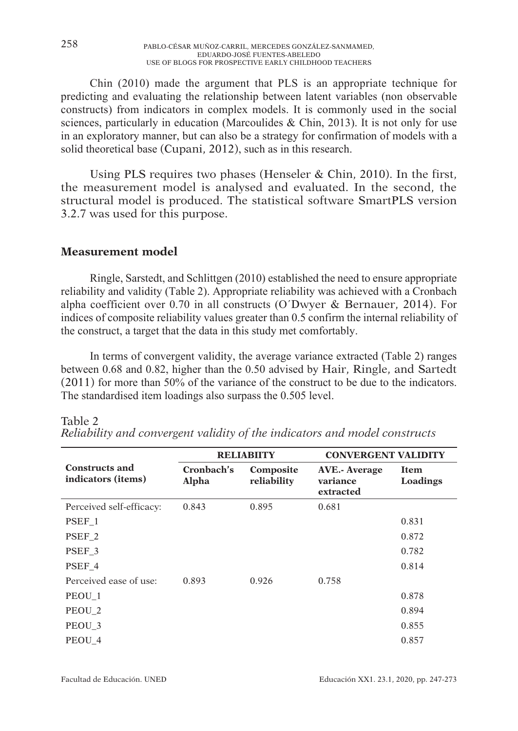Chin (2010) made the argument that PLS is an appropriate technique for predicting and evaluating the relationship between latent variables (non observable constructs) from indicators in complex models. It is commonly used in the social sciences, particularly in education (Marcoulides  $\&$  Chin, 2013). It is not only for use in an exploratory manner, but can also be a strategy for confirmation of models with a solid theoretical base (Cupani, 2012), such as in this research.

Using PLS requires two phases (Henseler & Chin, 2010). In the first, the measurement model is analysed and evaluated. In the second, the structural model is produced. The statistical software SmartPLS version 3.2.7 was used for this purpose.

## **Measurement model**

Ringle, Sarstedt, and Schlittgen (2010) established the need to ensure appropriate reliability and validity (Table 2). Appropriate reliability was achieved with a Cronbach alpha coefficient over 0.70 in all constructs (O´Dwyer & Bernauer, 2014). For indices of composite reliability values greater than 0.5 confirm the internal reliability of the construct, a target that the data in this study met comfortably.

In terms of convergent validity, the average variance extracted (Table 2) ranges between 0.68 and 0.82, higher than the 0.50 advised by Hair, Ringle, and Sartedt (2011) for more than 50% of the variance of the construct to be due to the indicators. The standardised item loadings also surpass the 0.505 level.

|                                                      |                            | <b>RELIABIITY</b>        | <b>CONVERGENT VALIDITY</b>                     |                         |  |  |
|------------------------------------------------------|----------------------------|--------------------------|------------------------------------------------|-------------------------|--|--|
| <b>Constructs and</b><br>indicators ( <i>items</i> ) | Cronbach's<br><b>Alpha</b> | Composite<br>reliability | <b>AVE.</b> - Average<br>variance<br>extracted | <b>Item</b><br>Loadings |  |  |
| Perceived self-efficacy:                             | 0.843                      | 0.895                    | 0.681                                          |                         |  |  |
| PSEF 1                                               |                            |                          |                                                | 0.831                   |  |  |
| PSEF <sub>2</sub>                                    |                            |                          |                                                | 0.872                   |  |  |
| PSEF <sub>3</sub>                                    |                            |                          |                                                | 0.782                   |  |  |
| PSEF 4                                               |                            |                          |                                                | 0.814                   |  |  |
| Perceived ease of use:                               | 0.893                      | 0.926                    | 0.758                                          |                         |  |  |
| PEOU 1                                               |                            |                          |                                                | 0.878                   |  |  |
| PEOU <sub>2</sub>                                    |                            |                          |                                                | 0.894                   |  |  |
| PEOU <sub>3</sub>                                    |                            |                          |                                                | 0.855                   |  |  |
| PEOU 4                                               |                            |                          |                                                | 0.857                   |  |  |

#### Table 2

*Reliability and convergent validity of the indicators and model constructs*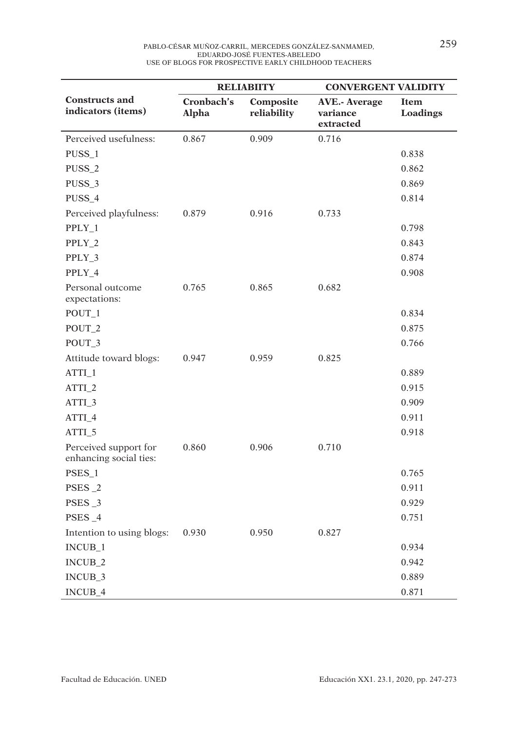|                                                 |                     | <b>RELIABIITY</b>        | <b>CONVERGENT VALIDITY</b>                    |                  |  |  |
|-------------------------------------------------|---------------------|--------------------------|-----------------------------------------------|------------------|--|--|
| <b>Constructs and</b><br>indicators (items)     | Cronbach's<br>Alpha | Composite<br>reliability | <b>AVE.- Average</b><br>variance<br>extracted | Item<br>Loadings |  |  |
| Perceived usefulness:                           | 0.867               | 0.909                    | 0.716                                         |                  |  |  |
| PUSS_1                                          |                     |                          |                                               | 0.838            |  |  |
| PUSS_2                                          |                     |                          |                                               | 0.862            |  |  |
| PUSS_3                                          |                     |                          |                                               | 0.869            |  |  |
| PUSS_4                                          |                     |                          |                                               | 0.814            |  |  |
| Perceived playfulness:                          | 0.879               | 0.916                    | 0.733                                         |                  |  |  |
| PPLY_1                                          |                     |                          |                                               | 0.798            |  |  |
| PPLY_2                                          |                     |                          |                                               | 0.843            |  |  |
| PPLY_3                                          |                     |                          |                                               | 0.874            |  |  |
| PPLY_4                                          |                     |                          |                                               | 0.908            |  |  |
| Personal outcome<br>expectations:               | 0.765               | 0.865                    | 0.682                                         |                  |  |  |
| POUT_1                                          |                     |                          |                                               | 0.834            |  |  |
| POUT_2                                          |                     |                          |                                               | 0.875            |  |  |
| POUT_3                                          |                     |                          |                                               | 0.766            |  |  |
| Attitude toward blogs:                          | 0.947               | 0.959                    | 0.825                                         |                  |  |  |
| ATTI_1                                          |                     |                          |                                               | 0.889            |  |  |
| ATTI_2                                          |                     |                          |                                               | 0.915            |  |  |
| ATTI_3                                          |                     |                          |                                               | 0.909            |  |  |
| ATTI_4                                          |                     |                          |                                               | 0.911            |  |  |
| ATTI_5                                          |                     |                          |                                               | 0.918            |  |  |
| Perceived support for<br>enhancing social ties: | 0.860               | 0.906                    | 0.710                                         |                  |  |  |
| PSES_1                                          |                     |                          |                                               | 0.765            |  |  |
| PSES_2                                          |                     |                          |                                               | 0.911            |  |  |
| PSES_3                                          |                     |                          |                                               | 0.929            |  |  |
| PSES_4                                          |                     |                          |                                               | 0.751            |  |  |
| Intention to using blogs:                       | 0.930               | 0.950                    | 0.827                                         |                  |  |  |
| INCUB_1                                         |                     |                          |                                               | 0.934            |  |  |
| INCUB_2                                         |                     |                          |                                               | 0.942            |  |  |
| INCUB_3                                         |                     |                          |                                               | 0.889            |  |  |
| INCUB_4                                         |                     |                          |                                               | 0.871            |  |  |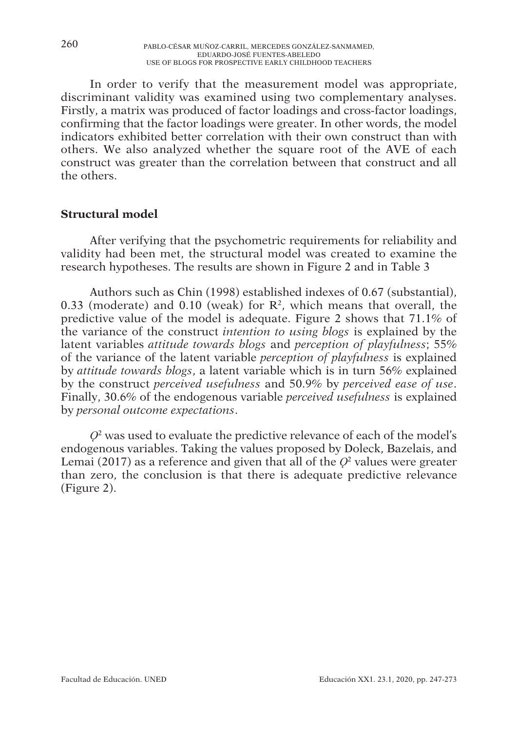In order to verify that the measurement model was appropriate, discriminant validity was examined using two complementary analyses. Firstly, a matrix was produced of factor loadings and cross-factor loadings, confirming that the factor loadings were greater. In other words, the model indicators exhibited better correlation with their own construct than with others. We also analyzed whether the square root of the AVE of each construct was greater than the correlation between that construct and all the others.

# **Structural model**

After verifying that the psychometric requirements for reliability and validity had been met, the structural model was created to examine the research hypotheses. The results are shown in Figure 2 and in Table 3

Authors such as Chin (1998) established indexes of 0.67 (substantial), 0.33 (moderate) and 0.10 (weak) for  $\mathbb{R}^2$ , which means that overall, the predictive value of the model is adequate. Figure 2 shows that 71.1% of the variance of the construct *intention to using blogs* is explained by the latent variables *attitude towards blogs* and *perception of playfulness*; 55% of the variance of the latent variable *perception of playfulness* is explained by *attitude towards blogs*, a latent variable which is in turn 56% explained by the construct *perceived usefulness* and 50.9% by *perceived ease of use*. Finally, 30.6% of the endogenous variable *perceived usefulness* is explained by *personal outcome expectations*.

 $Q<sup>2</sup>$  was used to evaluate the predictive relevance of each of the model's endogenous variables. Taking the values proposed by Doleck, Bazelais, and Lemai (2017) as a reference and given that all of the  $O<sup>2</sup>$  values were greater than zero, the conclusion is that there is adequate predictive relevance (Figure 2).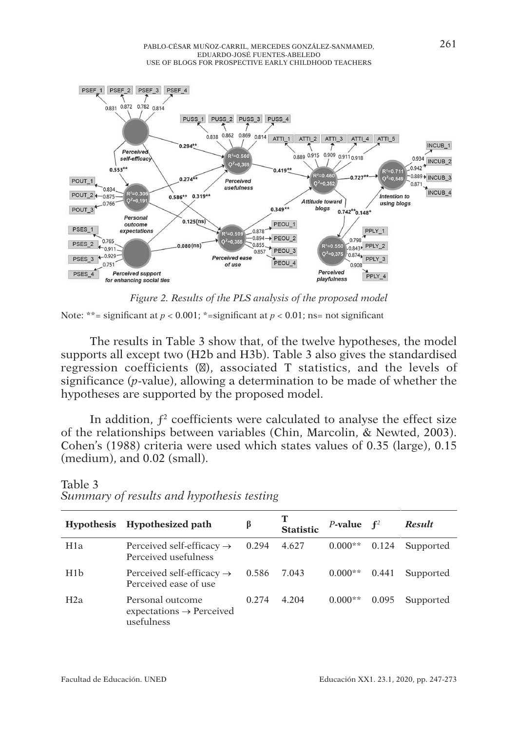

*Figure 2. Results of the PLS analysis of the proposed model*

Note: \*\*= significant at  $p < 0.001$ ; \*= significant at  $p < 0.01$ ; ns= not significant

The results in Table 3 show that, of the twelve hypotheses, the model supports all except two (H2b and H3b). Table 3 also gives the standardised regression coefficients ( ), associated T statistics, and the levels of significance (*p*-value), allowing a determination to be made of whether the hypotheses are supported by the proposed model.

In addition,  $f^2$  coefficients were calculated to analyse the effect size of the relationships between variables (Chin, Marcolin, & Newted, 2003). Cohen's (1988) criteria were used which states values of 0.35 (large), 0.15 (medium), and 0.02 (small).

| <b>Hypothesis</b> | Hypothesized path                                                       | ß     | <b>Statistic</b> | <i>P</i> -value $f^2$ |       | <b>Result</b> |
|-------------------|-------------------------------------------------------------------------|-------|------------------|-----------------------|-------|---------------|
| H1a               | Perceived self-efficacy $\rightarrow$<br>Perceived usefulness           | 0.294 | 4.627            | $0.000**$             | 0.124 | Supported     |
| H1 <sub>b</sub>   | Perceived self-efficacy $\rightarrow$<br>Perceived ease of use          | 0.586 | 7.043            | $0.000**$             | 0.441 | Supported     |
| H2a               | Personal outcome<br>$expectations \rightarrow Percentage$<br>usefulness | 0.274 | 4.204            | $0.000**$             | 0.095 | Supported     |

#### Table 3 *Summary of results and hypothesis testing*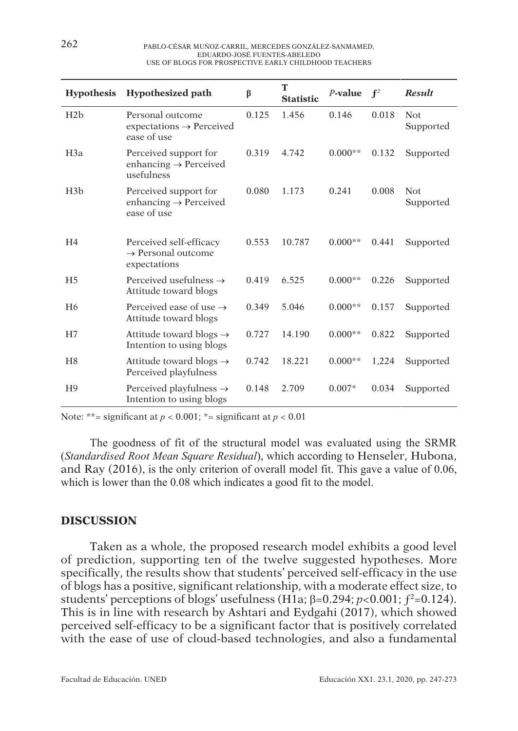| <b>Hypothesis</b> | <b>Hypothesized path</b>                                                  | β     | T<br><b>Statistic</b> | $P$ -value | $f^2$ | <b>Result</b>     |
|-------------------|---------------------------------------------------------------------------|-------|-----------------------|------------|-------|-------------------|
| H2b               | Personal outcome<br>$expectations \rightarrow Percentage$<br>ease of use  | 0.125 | 1.456                 | 0.146      | 0.018 | Not.<br>Supported |
| H3a               | Perceived support for<br>enhancing $\rightarrow$ Perceived<br>usefulness  | 0.319 | 4.742                 | $0.000**$  | 0.132 | Supported         |
| H3b               | Perceived support for<br>enhancing $\rightarrow$ Perceived<br>ease of use | 0.080 | 1.173                 | 0.241      | 0.008 | Not.<br>Supported |
| H <sub>4</sub>    | Perceived self-efficacy<br>$\rightarrow$ Personal outcome<br>expectations | 0.553 | 10.787                | $0.000**$  | 0.441 | Supported         |
| H <sub>5</sub>    | Perceived usefulness $\rightarrow$<br>Attitude toward blogs               | 0.419 | 6.525                 | $0.000**$  | 0.226 | Supported         |
| H <sub>6</sub>    | Perceived ease of use $\rightarrow$<br>Attitude toward blogs              | 0.349 | 5.046                 | $0.000**$  | 0.157 | Supported         |
| H7                | Attitude toward blogs $\rightarrow$<br>Intention to using blogs           | 0.727 | 14.190                | $0.000**$  | 0.822 | Supported         |
| H <sub>8</sub>    | Attitude toward blogs $\rightarrow$<br>Perceived playfulness              | 0.742 | 18.221                | $0.000**$  | 1,224 | Supported         |
| H <sup>9</sup>    | Perceived playfulness $\rightarrow$<br>Intention to using blogs           | 0.148 | 2.709                 | $0.007*$   | 0.034 | Supported         |

Note: \*\*= significant at  $p < 0.001$ ; \*= significant at  $p < 0.01$ 

The goodness of fit of the structural model was evaluated using the SRMR (*Standardised Root Mean Square Residual*), which according to Henseler, Hubona, and Ray (2016), is the only criterion of overall model fit. This gave a value of 0.06, which is lower than the 0.08 which indicates a good fit to the model.

#### **DISCUSSION**

Taken as a whole, the proposed research model exhibits a good level of prediction, supporting ten of the twelve suggested hypotheses. More specifically, the results show that students' perceived self-efficacy in the use of blogs has a positive, significant relationship, with a moderate effect size, to students' perceptions of blogs' usefulness (H1a;  $\beta$ =0.294;  $p$ <0.001;  $f^2$ =0.124). This is in line with research by Ashtari and Eydgahi (2017), which showed perceived self-efficacy to be a significant factor that is positively correlated with the ease of use of cloud-based technologies, and also a fundamental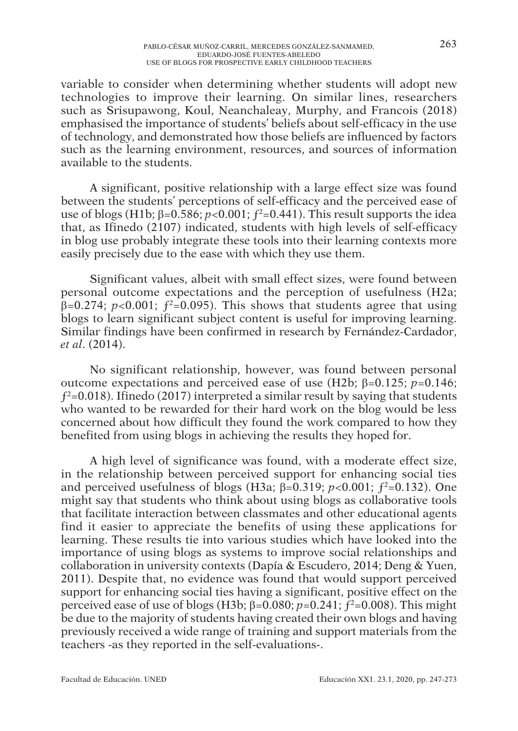variable to consider when determining whether students will adopt new technologies to improve their learning. On similar lines, researchers such as Srisupawong, Koul, Neanchaleay, Murphy, and Francois (2018) emphasised the importance of students' beliefs about self-efficacy in the use of technology, and demonstrated how those beliefs are influenced by factors such as the learning environment, resources, and sources of information available to the students.

A significant, positive relationship with a large effect size was found between the students' perceptions of self-efficacy and the perceived ease of use of blogs (H1b;  $\beta$ =0.586;  $\vec{p}$ <0.001;  $f^2$ =0.441). This result supports the idea that, as Ifinedo (2107) indicated, students with high levels of self-efficacy in blog use probably integrate these tools into their learning contexts more easily precisely due to the ease with which they use them.

Significant values, albeit with small effect sizes, were found between personal outcome expectations and the perception of usefulness (H2a;  $\beta$ =0.274; *p*<0.001;  $f^2$ =0.095). This shows that students agree that using blogs to learn significant subject content is useful for improving learning. Similar findings have been confirmed in research by Fernández-Cardador, *et al*. (2014).

No significant relationship, however, was found between personal outcome expectations and perceived ease of use (H2b; β=0.125; *p*=0.146;  $f^2$ =0.018). Ifinedo (2017) interpreted a similar result by saying that students who wanted to be rewarded for their hard work on the blog would be less concerned about how difficult they found the work compared to how they benefited from using blogs in achieving the results they hoped for.

A high level of significance was found, with a moderate effect size, in the relationship between perceived support for enhancing social ties and perceived usefulness of blogs (H3a;  $\beta$ =0.319; *p*<0.001;  $f^2$ =0.132). One might say that students who think about using blogs as collaborative tools that facilitate interaction between classmates and other educational agents find it easier to appreciate the benefits of using these applications for learning. These results tie into various studies which have looked into the importance of using blogs as systems to improve social relationships and collaboration in university contexts (Dapía & Escudero, 2014; Deng & Yuen, 2011). Despite that, no evidence was found that would support perceived support for enhancing social ties having a significant, positive effect on the perceived ease of use of blogs (H3b; β=0.080; *p*=0.241; ƒ2=0.008). This might be due to the majority of students having created their own blogs and having previously received a wide range of training and support materials from the teachers -as they reported in the self-evaluations-.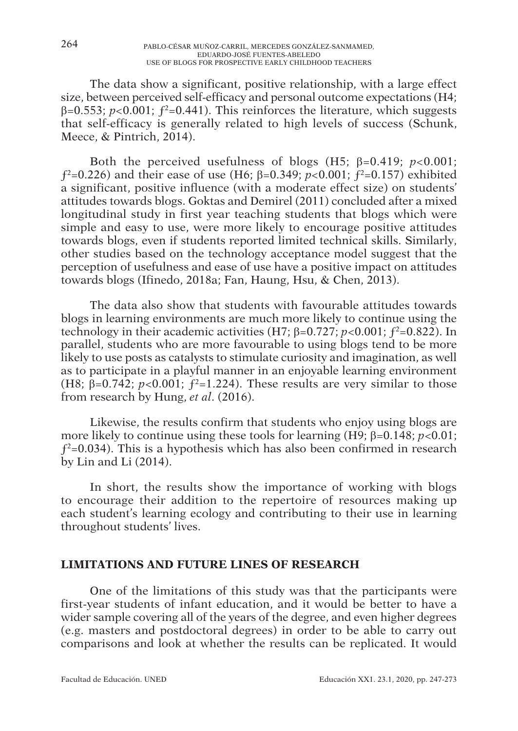The data show a significant, positive relationship, with a large effect size, between perceived self-efficacy and personal outcome expectations (H4; β=0.553; *p<*0.001; ƒ2=0.441). This reinforces the literature, which suggests that self-efficacy is generally related to high levels of success (Schunk, Meece, & Pintrich, 2014).

Both the perceived usefulness of blogs (H5; β=0.419; *p<*0.001; ƒ2=0.226) and their ease of use (H6; β=0.349; *p<*0.001; ƒ2=0.157) exhibited a significant, positive influence (with a moderate effect size) on students' attitudes towards blogs. Goktas and Demirel (2011) concluded after a mixed longitudinal study in first year teaching students that blogs which were simple and easy to use, were more likely to encourage positive attitudes towards blogs, even if students reported limited technical skills. Similarly, other studies based on the technology acceptance model suggest that the perception of usefulness and ease of use have a positive impact on attitudes towards blogs (Ifinedo, 2018a; Fan, Haung, Hsu, & Chen, 2013).

The data also show that students with favourable attitudes towards blogs in learning environments are much more likely to continue using the technology in their academic activities (H7;  $\beta$ =0.727; *p*<0.001;  $f^2$ =0.822). In parallel, students who are more favourable to using blogs tend to be more likely to use posts as catalysts to stimulate curiosity and imagination, as well as to participate in a playful manner in an enjoyable learning environment (H8;  $\beta$ =0.742; *p*<0.001;  $f^2$ =1.224). These results are very similar to those from research by Hung, *et al*. (2016).

Likewise, the results confirm that students who enjoy using blogs are more likely to continue using these tools for learning (H9; β=0.148; *p*<0.01;  $f^2$ =0.034). This is a hypothesis which has also been confirmed in research by Lin and Li (2014).

In short, the results show the importance of working with blogs to encourage their addition to the repertoire of resources making up each student's learning ecology and contributing to their use in learning throughout students' lives.

## **LIMITATIONS AND FUTURE LINES OF RESEARCH**

One of the limitations of this study was that the participants were first-year students of infant education, and it would be better to have a wider sample covering all of the years of the degree, and even higher degrees (e.g. masters and postdoctoral degrees) in order to be able to carry out comparisons and look at whether the results can be replicated. It would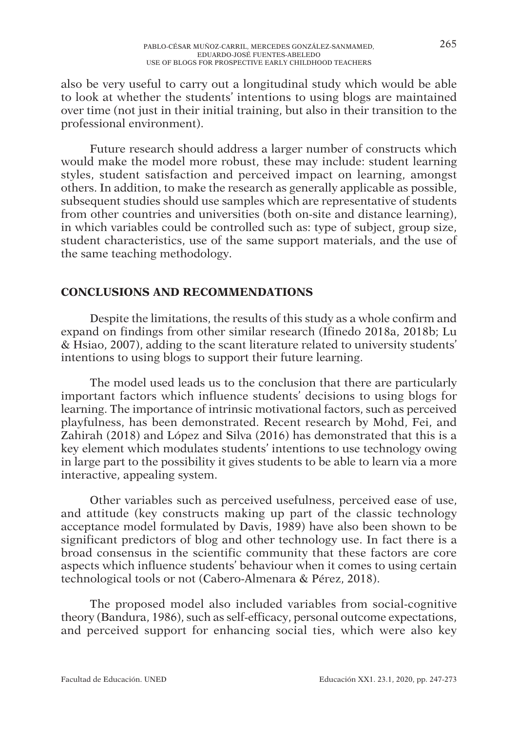also be very useful to carry out a longitudinal study which would be able to look at whether the students' intentions to using blogs are maintained over time (not just in their initial training, but also in their transition to the professional environment).

Future research should address a larger number of constructs which would make the model more robust, these may include: student learning styles, student satisfaction and perceived impact on learning, amongst others. In addition, to make the research as generally applicable as possible, subsequent studies should use samples which are representative of students from other countries and universities (both on-site and distance learning), in which variables could be controlled such as: type of subject, group size, student characteristics, use of the same support materials, and the use of the same teaching methodology.

# **CONCLUSIONS AND RECOMMENDATIONS**

Despite the limitations, the results of this study as a whole confirm and expand on findings from other similar research (Ifinedo 2018a, 2018b; Lu & Hsiao, 2007), adding to the scant literature related to university students' intentions to using blogs to support their future learning.

The model used leads us to the conclusion that there are particularly important factors which influence students' decisions to using blogs for learning. The importance of intrinsic motivational factors, such as perceived playfulness, has been demonstrated. Recent research by Mohd, Fei, and Zahirah (2018) and López and Silva (2016) has demonstrated that this is a key element which modulates students' intentions to use technology owing in large part to the possibility it gives students to be able to learn via a more interactive, appealing system.

Other variables such as perceived usefulness, perceived ease of use, and attitude (key constructs making up part of the classic technology acceptance model formulated by Davis, 1989) have also been shown to be significant predictors of blog and other technology use. In fact there is a broad consensus in the scientific community that these factors are core aspects which influence students' behaviour when it comes to using certain technological tools or not (Cabero-Almenara & Pérez, 2018).

The proposed model also included variables from social-cognitive theory (Bandura, 1986), such as self-efficacy, personal outcome expectations, and perceived support for enhancing social ties, which were also key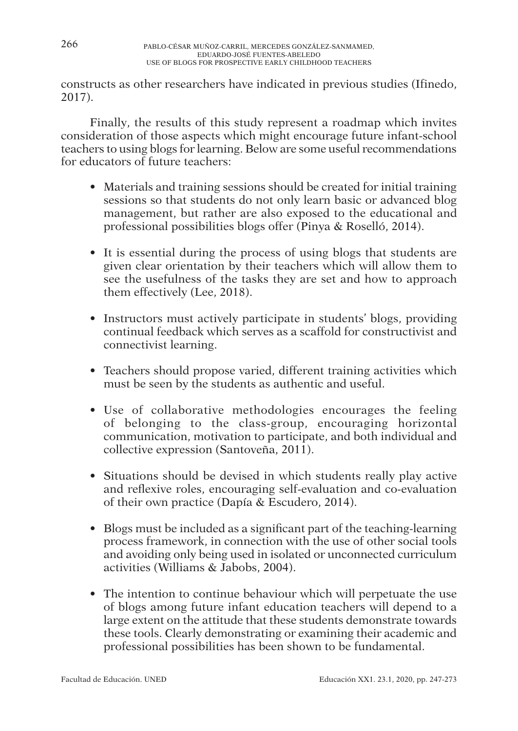constructs as other researchers have indicated in previous studies (Ifinedo, 2017).

Finally, the results of this study represent a roadmap which invites consideration of those aspects which might encourage future infant-school teachers to using blogs for learning. Below are some useful recommendations for educators of future teachers:

- Materials and training sessions should be created for initial training sessions so that students do not only learn basic or advanced blog management, but rather are also exposed to the educational and professional possibilities blogs offer (Pinya & Roselló, 2014).
- It is essential during the process of using blogs that students are given clear orientation by their teachers which will allow them to see the usefulness of the tasks they are set and how to approach them effectively (Lee, 2018).
- Instructors must actively participate in students' blogs, providing continual feedback which serves as a scaffold for constructivist and connectivist learning.
- Teachers should propose varied, different training activities which must be seen by the students as authentic and useful.
- Use of collaborative methodologies encourages the feeling of belonging to the class-group, encouraging horizontal communication, motivation to participate, and both individual and collective expression (Santoveña, 2011).
- Situations should be devised in which students really play active and reflexive roles, encouraging self-evaluation and co-evaluation of their own practice (Dapía & Escudero, 2014).
- Blogs must be included as a significant part of the teaching-learning process framework, in connection with the use of other social tools and avoiding only being used in isolated or unconnected curriculum activities (Williams & Jabobs, 2004).
- The intention to continue behaviour which will perpetuate the use of blogs among future infant education teachers will depend to a large extent on the attitude that these students demonstrate towards these tools. Clearly demonstrating or examining their academic and professional possibilities has been shown to be fundamental.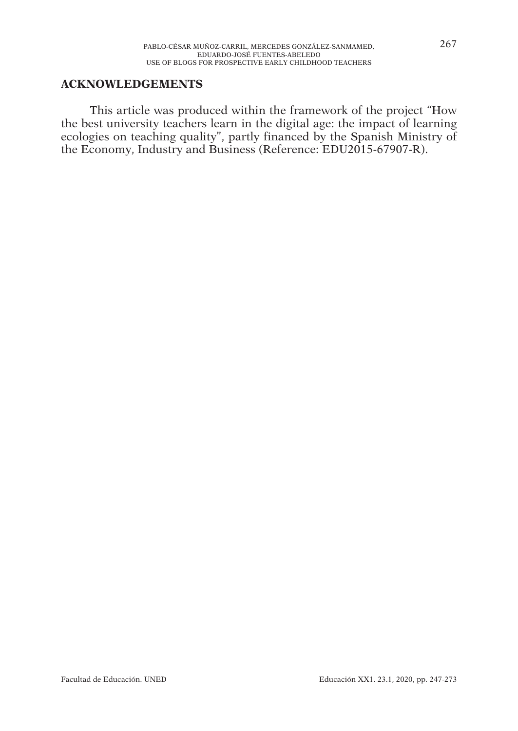#### **ACKNOWLEDGEMENTS**

This article was produced within the framework of the project "How the best university teachers learn in the digital age: the impact of learning ecologies on teaching quality", partly financed by the Spanish Ministry of the Economy, Industry and Business (Reference: EDU2015-67907-R).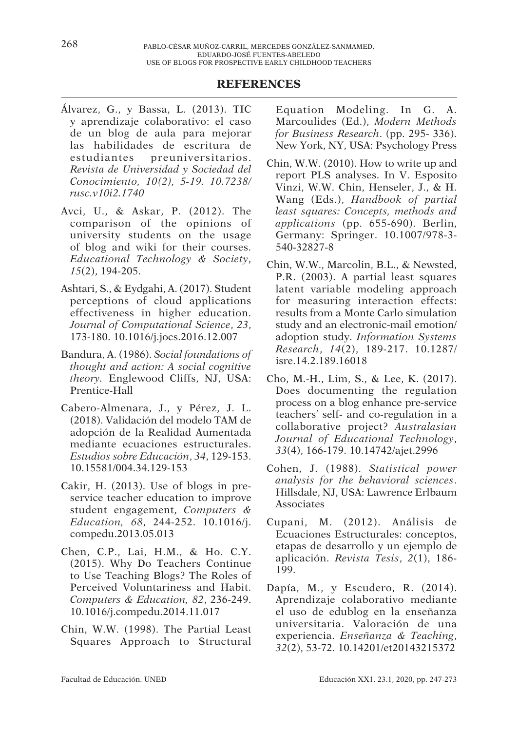#### **REFERENCES**

- Álvarez, G., y Bassa, L. (2013). TIC y aprendizaje colaborativo: el caso de un blog de aula para mejorar las habilidades de escritura de estudiantes preuniversitarios. *Revista de Universidad y Sociedad del Conocimiento, 10(2), 5-19. 10.7238/ rusc.v10i2.1740*
- Avci, U., & Askar, P. (2012). The comparison of the opinions of university students on the usage of blog and wiki for their courses. *Educational Technology & Society*, *15*(2), 194-205.
- Ashtari, S., & Eydgahi, A. (2017). Student perceptions of cloud applications effectiveness in higher education. *Journal of Computational Science*, *23*, 173-180. 10.1016/j.jocs.2016.12.007
- Bandura, A. (1986). *Social foundations of thought and action: A social cognitive theory.* Englewood Cliffs, NJ, USA: Prentice-Hall
- Cabero-Almenara, J., y Pérez, J. L. (2018). Validación del modelo TAM de adopción de la Realidad Aumentada mediante ecuaciones estructurales. *Estudios sobre Educación*, *34*, 129-153. 10.15581/004.34.129-153
- Cakir, H. (2013). Use of blogs in preservice teacher education to improve student engagement, *Computers & Education, 68*, 244-252. 10.1016/j. compedu.2013.05.013
- Chen, C.P., Lai, H.M., & Ho. C.Y. (2015). Why Do Teachers Continue to Use Teaching Blogs? The Roles of Perceived Voluntariness and Habit. *Computers & Education, 82*, 236-249. 10.1016/j.compedu.2014.11.017
- Chin, W.W. (1998). The Partial Least Squares Approach to Structural

Equation Modeling. In G. A. Marcoulides (Ed.), *Modern Methods for Business Research*. (pp. 295- 336). New York, NY, USA: Psychology Press

- Chin, W.W. (2010). How to write up and report PLS analyses. In V. Esposito Vinzi, W.W. Chin, Henseler, J., & H. Wang (Eds.), *Handbook of partial least squares: Concepts, methods and applications* (pp. 655-690). Berlin, Germany: Springer. 10.1007/978-3- 540-32827-8
- Chin, W.W., Marcolin, B.L., & Newsted, P.R. (2003). A partial least squares latent variable modeling approach for measuring interaction effects: results from a Monte Carlo simulation study and an electronic-mail emotion/ adoption study. *Information Systems Research*, *14*(2), 189-217. 10.1287/ isre.14.2.189.16018
- Cho, M.-H., Lim, S., & Lee, K. (2017). Does documenting the regulation process on a blog enhance pre-service teachers' self- and co-regulation in a collaborative project? *Australasian Journal of Educational Technology*, *33*(4), 166-179. 10.14742/ajet.2996
- Cohen, J. (1988). *Statistical power analysis for the behavioral sciences*. Hillsdale, NJ, USA: Lawrence Erlbaum Associates
- Cupani, M. (2012). Análisis de Ecuaciones Estructurales: conceptos, etapas de desarrollo y un ejemplo de aplicación. *Revista Tesis*, *2*(1), 186- 199.
- Dapía, M., y Escudero, R. (2014). Aprendizaje colaborativo mediante el uso de edublog en la enseñanza universitaria. Valoración de una experiencia. *Enseñanza & Teaching*, *32*(2), 53-72. 10.14201/et20143215372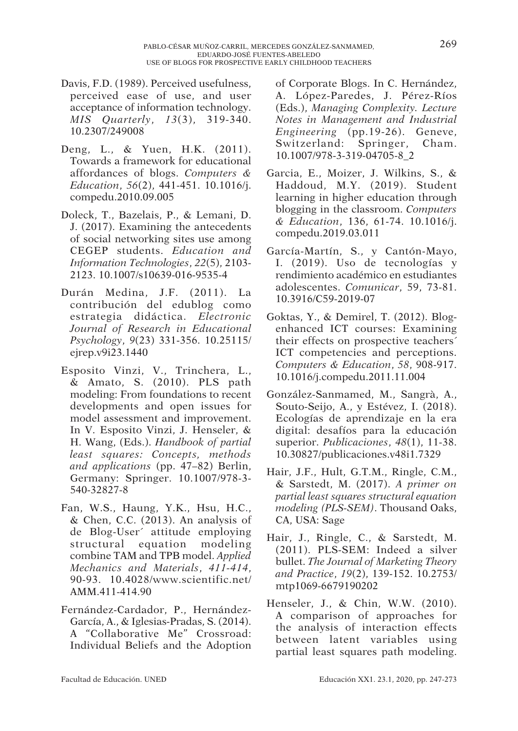- Davis, F.D. (1989). Perceived usefulness, perceived ease of use, and user acceptance of information technology. *MIS Quarterly*, *13*(3), 319-340. 10.2307/249008
- Deng, L., & Yuen, H.K. (2011). Towards a framework for educational affordances of blogs. *Computers & Education*, *56*(2), 441-451. 10.1016/j. compedu.2010.09.005
- Doleck, T., Bazelais, P., & Lemani, D. J. (2017). Examining the antecedents of social networking sites use among CEGEP students. *Education and Information Technologies*, *22*(5), 2103- 2123. 10.1007/s10639-016-9535-4
- Durán Medina, J.F. (2011). La contribución del edublog como estrategia didáctica. *Electronic Journal of Research in Educational Psychology*, *9*(23) 331-356. 10.25115/ ejrep.v9i23.1440
- Esposito Vinzi, V., Trinchera, L., & Amato, S. (2010). PLS path modeling: From foundations to recent developments and open issues for model assessment and improvement. In V. Esposito Vinzi, J. Henseler, & H. Wang, (Eds.). *Handbook of partial least squares: Concepts, methods and applications* (pp. 47–82) Berlin, Germany: Springer. 10.1007/978-3- 540-32827-8
- Fan, W.S., Haung, Y.K., Hsu, H.C., & Chen, C.C. (2013). An analysis of de Blog-User´ attitude employing structural equation modeling combine TAM and TPB model. *Applied Mechanics and Materials*, *411-414*, 90-93. 10.4028/www.scientific.net/ AMM.411-414.90
- Fernández-Cardador, P., Hernández-García, A., & Iglesias-Pradas, S. (2014). A "Collaborative Me" Crossroad: Individual Beliefs and the Adoption

of Corporate Blogs. In C. Hernández, A. López-Paredes, J. Pérez-Ríos (Eds.), *Managing Complexity. Lecture Notes in Management and Industrial Engineering* (pp.19-26). Geneve, Switzerland: Springer, Cham. 10.1007/978-3-319-04705-8\_2

- Garcia, E., Moizer, J. Wilkins, S., & Haddoud, M.Y. (2019). Student learning in higher education through blogging in the classroom. *Computers & Education*, 136, 61-74. 10.1016/j. compedu.2019.03.011
- García-Martín, S., y Cantón-Mayo, I. (2019). Uso de tecnologías y rendimiento académico en estudiantes adolescentes. *Comunicar*, 59, 73-81. 10.3916/C59-2019-07
- Goktas, Y., & Demirel, T. (2012). Blogenhanced ICT courses: Examining their effects on prospective teachers´ ICT competencies and perceptions. *Computers & Education*, *58*, 908-917. 10.1016/j.compedu.2011.11.004
- González-Sanmamed, M., Sangrà, A., Souto-Seijo, A., y Estévez, I. (2018). Ecologías de aprendizaje en la era digital: desafíos para la educación superior. *Publicaciones*, *48*(1), 11-38. 10.30827/publicaciones.v48i1.7329
- Hair, J.F., Hult, G.T.M., Ringle, C.M., & Sarstedt, M. (2017). *A primer on partial least squares structural equation modeling (PLS-SEM)*. Thousand Oaks, CA, USA: Sage
- Hair, J., Ringle, C., & Sarstedt, M. (2011). PLS-SEM: Indeed a silver bullet. *The Journal of Marketing Theory and Practice*, *19*(2), 139-152. 10.2753/ mtp1069-6679190202
- Henseler, J., & Chin, W.W. (2010). A comparison of approaches for the analysis of interaction effects between latent variables using partial least squares path modeling.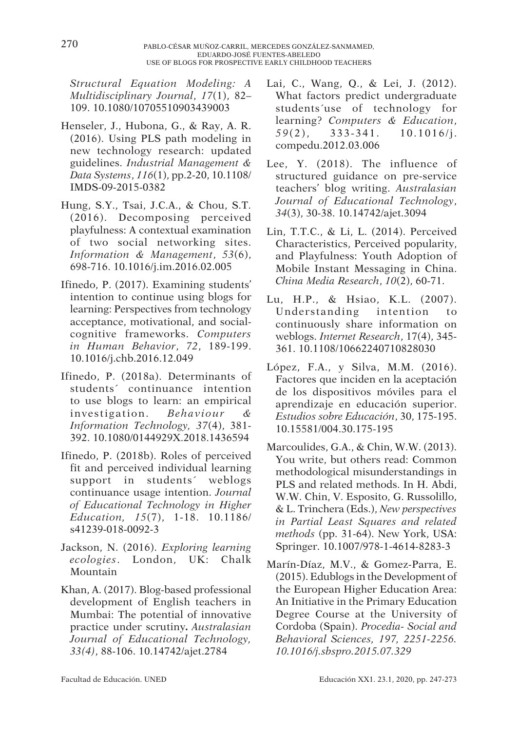*Structural Equation Modeling: A Multidisciplinary Journal*, *17*(1), 82– 109. 10.1080/10705510903439003

- Henseler, J., Hubona, G., & Ray, A. R. (2016). Using PLS path modeling in new technology research: updated guidelines. *Industrial Management & Data Systems*, *116*(1), pp.2-20, 10.1108/ IMDS-09-2015-0382
- Hung, S.Y., Tsai, J.C.A., & Chou, S.T. (2016). Decomposing perceived playfulness: A contextual examination of two social networking sites. *Information & Management*, *53*(6), 698-716. 10.1016/j.im.2016.02.005
- Ifinedo, P. (2017). Examining students' intention to continue using blogs for learning: Perspectives from technology acceptance, motivational, and socialcognitive frameworks. *Computers in Human Behavior*, *72*, 189-199. 10.1016/j.chb.2016.12.049
- Ifinedo, P. (2018a). Determinants of students´ continuance intention to use blogs to learn: an empirical investigation. *Behaviour & Information Technology, 37*(4), 381- 392. 10.1080/0144929X.2018.1436594
- Ifinedo, P. (2018b). Roles of perceived fit and perceived individual learning support in students´ weblogs continuance usage intention. *Journal of Educational Technology in Higher Education, 15*(7), 1-18. 10.1186/ s41239-018-0092-3
- Jackson, N. (2016). *Exploring learning ecologies*. London, UK: Chalk Mountain
- Khan, A. (2017). Blog-based professional development of English teachers in Mumbai: The potential of innovative practice under scrutiny**.** *Australasian Journal of Educational Technology, 33(4)*, 88-106. 10.14742/ajet.2784
- Lai, C., Wang, Q., & Lei, J. (2012). What factors predict undergraduate students´use of technology for learning? *Computers & Education*, *59*(2), 333-341. 10.1016/j. compedu.2012.03.006
- Lee, Y. (2018). The influence of structured guidance on pre-service teachers' blog writing. *Australasian Journal of Educational Technology*, *34*(3), 30-38. 10.14742/ajet.3094
- Lin, T.T.C., & Li, L. (2014). Perceived Characteristics, Perceived popularity, and Playfulness: Youth Adoption of Mobile Instant Messaging in China. *China Media Research*, *10*(2), 60-71.
- Lu, H.P., & Hsiao, K.L. (2007). Understanding intention to continuously share information on weblogs. *Internet Research*, 17(4), 345- 361. 10.1108/10662240710828030
- López, F.A., y Silva, M.M. (2016). Factores que inciden en la aceptación de los dispositivos móviles para el aprendizaje en educación superior. *Estudios sobre Educación*, 30, 175-195. 10.15581/004.30.175-195
- Marcoulides, G.A., & Chin, W.W. (2013). You write, but others read: Common methodological misunderstandings in PLS and related methods. In H. Abdi, W.W. Chin, V. Esposito, G. Russolillo, & L. Trinchera (Eds.), *New perspectives in Partial Least Squares and related methods* (pp. 31-64). New York, USA: Springer. 10.1007/978-1-4614-8283-3
- Marín-Díaz, M.V., & Gomez-Parra, E. (2015). Edublogs in the Development of the European Higher Education Area: An Initiative in the Primary Education Degree Course at the University of Cordoba (Spain). *Procedia- Social and Behavioral Sciences, 197, 2251-2256. 10.1016/j.sbspro.2015.07.329*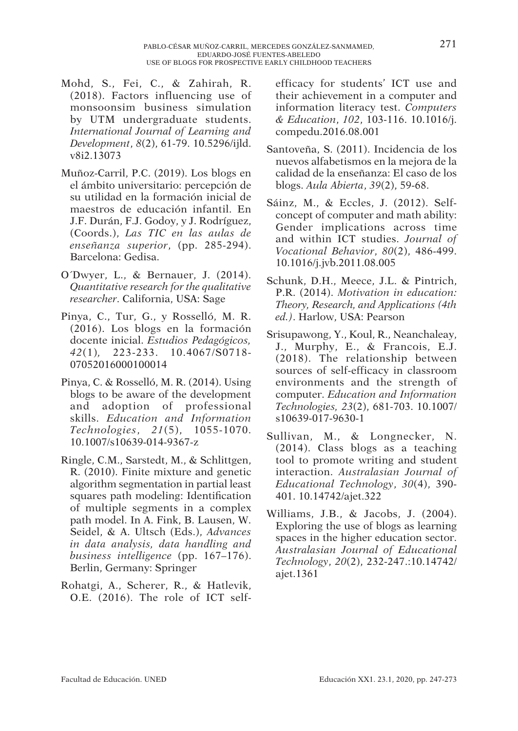- Mohd, S., Fei, C., & Zahirah, R. (2018). Factors influencing use of monsoonsim business simulation by UTM undergraduate students. *International Journal of Learning and Development*, *8*(2), 61-79. 10.5296/ijld. v8i2.13073
- Muñoz-Carril, P.C. (2019). Los blogs en el ámbito universitario: percepción de su utilidad en la formación inicial de maestros de educación infantil. En J.F. Durán, F.J. Godoy, y J. Rodríguez, (Coords.), *Las TIC en las aulas de enseñanza superior*, (pp. 285-294). Barcelona: Gedisa.
- O´Dwyer, L., & Bernauer, J. (2014). *Quantitative research for the qualitative researcher*. California, USA: Sage
- Pinya, C., Tur, G., y Rosselló, M. R. (2016). Los blogs en la formación docente inicial. *Estudios Pedagógicos, 42*(1)*,* 223-233. 10.4067/S0718- 07052016000100014
- Pinya, C. & Rosselló, M. R. (2014). Using blogs to be aware of the development and adoption of professional skills. *Education and Information Technologies*, *21*(5), 1055-1070. 10.1007/s10639-014-9367-z
- Ringle, C.M., Sarstedt, M., & Schlittgen, R. (2010). Finite mixture and genetic algorithm segmentation in partial least squares path modeling: Identification of multiple segments in a complex path model. In A. Fink, B. Lausen, W. Seidel, & A. Ultsch (Eds.), *Advances in data analysis, data handling and business intelligence* (pp. 167–176). Berlin, Germany: Springer
- Rohatgi, A., Scherer, R., & Hatlevik, O.E. (2016). The role of ICT self-

efficacy for students' ICT use and their achievement in a computer and information literacy test. *Computers & Education*, *102*, 103-116. 10.1016/j. compedu.2016.08.001

- Santoveña, S. (2011). Incidencia de los nuevos alfabetismos en la mejora de la calidad de la enseñanza: El caso de los blogs. *Aula Abierta*, *39*(2), 59-68.
- Sáinz, M., & Eccles, J. (2012). Selfconcept of computer and math ability: Gender implications across time and within ICT studies. *Journal of Vocational Behavior*, *80*(2), 486-499. 10.1016/j.jvb.2011.08.005
- Schunk, D.H., Meece, J.L. & Pintrich, P.R. (2014). *Motivation in education: Theory, Research, and Applications (4th ed.)*. Harlow, USA: Pearson
- Srisupawong, Y., Koul, R., Neanchaleay, J., Murphy, E., & Francois, E.J. (2018). The relationship between sources of self-efficacy in classroom environments and the strength of computer. *Education and Information Technologies, 23*(2), 681-703. 10.1007/ s10639-017-9630-1
- Sullivan, M., & Longnecker, N. (2014). Class blogs as a teaching tool to promote writing and student interaction. *Australasian Journal of Educational Technology*, *30*(4), 390- 401. 10.14742/ajet.322
- Williams, J.B., & Jacobs, J. (2004). Exploring the use of blogs as learning spaces in the higher education sector. *Australasian Journal of Educational Technology*, *20*(2), 232-247.:10.14742/ ajet.1361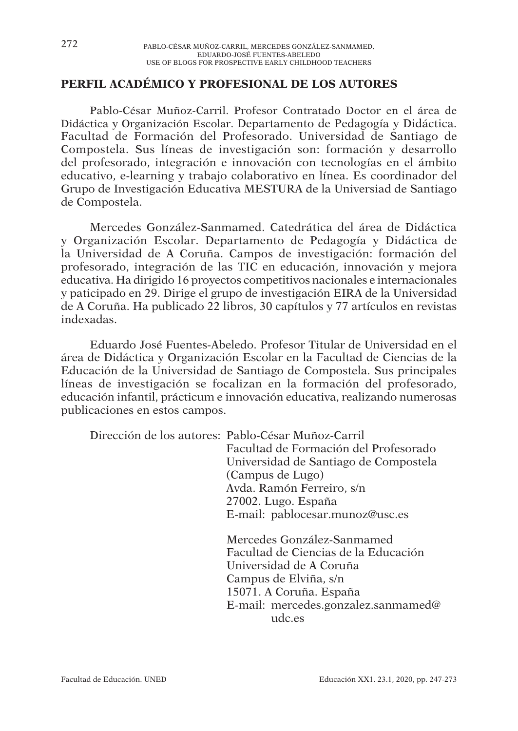## **PERFIL ACADÉMICO Y PROFESIONAL DE LOS AUTORES**

Pablo-César Muñoz-Carril. Profesor Contratado Doctor en el área de Didáctica y Organización Escolar. Departamento de Pedagogía y Didáctica. Facultad de Formación del Profesorado. Universidad de Santiago de Compostela. Sus líneas de investigación son: formación y desarrollo del profesorado, integración e innovación con tecnologías en el ámbito educativo, e-learning y trabajo colaborativo en línea. Es coordinador del Grupo de Investigación Educativa MESTURA de la Universiad de Santiago de Compostela.

Mercedes González-Sanmamed. Catedrática del área de Didáctica y Organización Escolar. Departamento de Pedagogía y Didáctica de la Universidad de A Coruña. Campos de investigación: formación del profesorado, integración de las TIC en educación, innovación y mejora educativa. Ha dirigido 16 proyectos competitivos nacionales e internacionales y paticipado en 29. Dirige el grupo de investigación EIRA de la Universidad de A Coruña. Ha publicado 22 libros, 30 capítulos y 77 artículos en revistas indexadas.

Eduardo José Fuentes-Abeledo. Profesor Titular de Universidad en el área de Didáctica y Organización Escolar en la Facultad de Ciencias de la Educación de la Universidad de Santiago de Compostela. Sus principales líneas de investigación se focalizan en la formación del profesorado, educación infantil, prácticum e innovación educativa, realizando numerosas publicaciones en estos campos.

Dirección de los autores: Pablo-César Muñoz-Carril Facultad de Formación del Profesorado Universidad de Santiago de Compostela (Campus de Lugo) Avda. Ramón Ferreiro, s/n 27002. Lugo. España E-mail: pablocesar.munoz@usc.es Mercedes González-Sanmamed Facultad de Ciencias de la Educación Universidad de A Coruña Campus de Elviña, s/n 15071. A Coruña. España

E-mail: mercedes.gonzalez.sanmamed@ udc.es